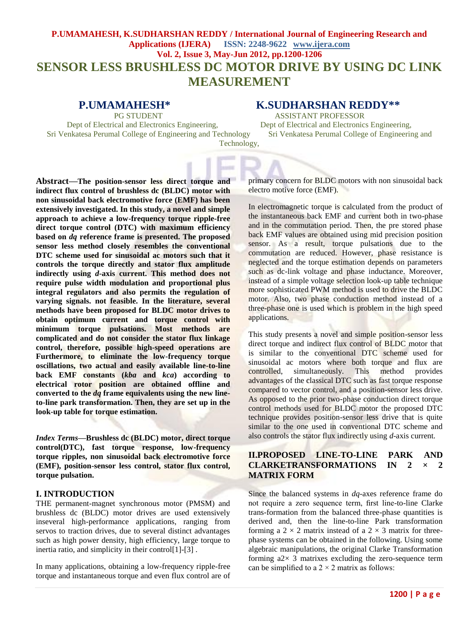# **P.UMAMAHESH, K.SUDHARSHAN REDDY / International Journal of Engineering Research and Applications (IJERA) ISSN: 2248-9622 www.ijera.com Vol. 2, Issue 3, May-Jun 2012, pp.1200-1206 SENSOR LESS BRUSHLESS DC MOTOR DRIVE BY USING DC LINK MEASUREMENT**

Dept of Electrical and Electronics Engineering, Dept of Electrical and Electronics Engineering, Sri Venkatesa Perumal College of Engineering and Technology Sri Venkatesa Perumal College of Engineering and Technology,

# **P.UMAMAHESH\* K.SUDHARSHAN REDDY\*\***

PG STUDENT ASSISTANT PROFESSOR

**Abstract—The position-sensor less direct torque and indirect flux control of brushless dc (BLDC) motor with non sinusoidal back electromotive force (EMF) has been extensively investigated. In this study, a novel and simple approach to achieve a low-frequency torque ripple-free direct torque control (DTC) with maximum efficiency based on** *dq* **reference frame is presented. The proposed sensor less method closely resembles the conventional DTC scheme used for sinusoidal ac motors such that it controls the torque directly and stator flux amplitude indirectly using** *d***-axis current. This method does not require pulse width modulation and proportional plus integral regulators and also permits the regulation of varying signals. not feasible. In the literature, several methods have been proposed for BLDC motor drives to obtain optimum current and torque control with minimum torque pulsations. Most methods are complicated and do not consider the stator flux linkage control, therefore, possible high-speed operations are Furthermore, to eliminate the low-frequency torque oscillations, two actual and easily available line-to-line back EMF constants (***kba* **and** *kca***) according to electrical rotor position are obtained offline and converted to the** *dq* **frame equivalents using the new lineto-line park transformation. Then, they are set up in the look-up table for torque estimation.**

*Index Terms***—Brushless dc (BLDC) motor, direct torque control(DTC), fast torque response, low-frequency torque ripples, non sinusoidal back electromotive force (EMF), position-sensor less control, stator flux control, torque pulsation.**

# **I. INTRODUCTION**

THE permanent-magnet synchronous motor (PMSM) and brushless dc (BLDC) motor drives are used extensively inseveral high-performance applications, ranging from servos to traction drives, due to several distinct advantages such as high power density, high efficiency, large torque to inertia ratio, and simplicity in their control[1]-[3] .

In many applications, obtaining a low-frequency ripple-free torque and instantaneous torque and even flux control are of primary concern for BLDC motors with non sinusoidal back electro motive force (EMF).

In electromagnetic torque is calculated from the product of the instantaneous back EMF and current both in two-phase and in the commutation period. Then, the pre stored phase back EMF values are obtained using mid precision position sensor. As a result, torque pulsations due to the commutation are reduced. However, phase resistance is neglected and the torque estimation depends on parameters such as dc-link voltage and phase inductance. Moreover, instead of a simple voltage selection look-up table technique more sophisticated PWM method is used to drive the BLDC motor. Also, two phase conduction method instead of a three-phase one is used which is problem in the high speed applications.

This study presents a novel and simple position-sensor less direct torque and indirect flux control of BLDC motor that is similar to the conventional DTC scheme used for sinusoidal ac motors where both torque and flux are controlled, simultaneously. This method provides advantages of the classical DTC such as fast torque response compared to vector control, and a position-sensor less drive. As opposed to the prior two-phase conduction direct torque control methods used for BLDC motor the proposed DTC technique provides position-sensor less drive that is quite similar to the one used in conventional DTC scheme and also controls the stator flux indirectly using *d*-axis current.

# **II.PROPOSED LINE-TO-LINE PARK AND CLARKETRANSFORMATIONS IN 2** *×* **2 MATRIX FORM**

Since the balanced systems in *dq*-axes reference frame do not require a zero sequence term, first line-to-line Clarke trans-formation from the balanced three-phase quantities is derived and, then the line-to-line Park transformation forming a  $2 \times 2$  matrix instead of a  $2 \times 3$  matrix for threephase systems can be obtained in the following. Using some algebraic manipulations, the original Clarke Transformation forming  $a2 \times 3$  matrixes excluding the zero-sequence term can be simplified to a  $2 \times 2$  matrix as follows: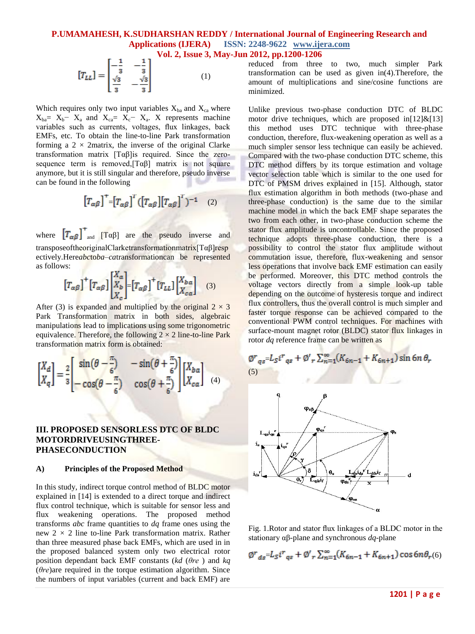$$
\begin{bmatrix} T_{LL} \end{bmatrix} = \begin{bmatrix} -\frac{1}{3} & -\frac{1}{3} \\ \frac{\sqrt{3}}{3} & -\frac{\sqrt{3}}{3} \end{bmatrix} \tag{1}
$$

Which requires only two input variables  $X_{ba}$  and  $X_{ca}$  where  $X_{ba} = X_b - X_a$  and  $X_{ca} = X_c - X_a$ . X represents machine variables such as currents, voltages, flux linkages, back EMFs, etc. To obtain the line-to-line Park transformation forming a  $2 \times 2$  matrix, the inverse of the original Clarke transformation matrix [Tαβ]is required. Since the zerosequence term is removed,  $[T\alpha\beta]$  matrix is not square anymore, but it is still singular and therefore, pseudo inverse can be found in the following

$$
\left[T_{\alpha\beta}\right]^{+} = \left[T_{\alpha\beta}\right]^{T} \left(\left[T_{\alpha\beta}\right]\left[T_{\alpha\beta}\right]^{T}\right)^{-1} \quad (2)
$$

where  $[T_{\alpha\beta}]^{\dagger}$  and  $[T_{\alpha\beta}]$  are the pseudo inverse and transposeoftheoriginalClarketransformationmatrix[Tαβ]resp ectively.Here*abc*to*ba*–*ca*transformationcan be represented as follows:

$$
\left[T_{\alpha\beta}\right]^+\left[T_{\alpha\beta}\right]\left[\begin{matrix}X_a\\X_b\\X_c\end{matrix}\right]=\left[T_{\alpha\beta}\right]^+\left[T_{LL}\right]\left[\begin{matrix}X_{ba}\\X_{ca}\end{matrix}\right]
$$
(3)

After (3) is expanded and multiplied by the original  $2 \times 3$ Park Transformation matrix in both sides, algebraic manipulations lead to implications using some trigonometric equivalence. Therefore, the following  $2 \times 2$  line-to-line Park transformation matrix form is obtained:

$$
\begin{bmatrix} X_d \\ X_q \end{bmatrix} = \frac{2}{3} \begin{bmatrix} \sin(\theta - \frac{\pi}{6}) & -\sin(\theta + \frac{\pi}{6}) \\ -\cos(\theta - \frac{\pi}{6}) & \cos(\theta + \frac{\pi}{6}) \end{bmatrix} \begin{bmatrix} X_{ba} \\ X_{ca} \end{bmatrix}
$$
 (4)

### **III. PROPOSED SENSORLESS DTC OF BLDC MOTORDRIVEUSINGTHREE-PHASECONDUCTION**

#### **A) Principles of the Proposed Method**

In this study, indirect torque control method of BLDC motor explained in [14] is extended to a direct torque and indirect flux control technique, which is suitable for sensor less and flux weakening operations. The proposed method transforms *abc* frame quantities to *dq* frame ones using the new 2 *×* 2 line to-line Park transformation matrix. Rather than three measured phase back EMFs, which are used in in the proposed balanced system only two electrical rotor position dependant back EMF constants (*kd* (*θre* ) and *kq*  (*θre*)are required in the torque estimation algorithm. Since the numbers of input variables (current and back EMF) are

reduced from three to two, much simpler Park transformation can be used as given in(4).Therefore, the amount of multiplications and sine/cosine functions are minimized.

Unlike previous two-phase conduction DTC of BLDC motor drive techniques, which are proposed in $[12]$ &[13] this method uses DTC technique with three-phase conduction, therefore, flux-weakening operation as well as a much simpler sensor less technique can easily be achieved. Compared with the two-phase conduction DTC scheme, this DTC method differs by its torque estimation and voltage vector selection table which is similar to the one used for DTC of PMSM drives explained in [15]. Although, stator flux estimation algorithm in both methods (two-phase and three-phase conduction) is the same due to the similar machine model in which the back EMF shape separates the two from each other, in two-phase conduction scheme the stator flux amplitude is uncontrollable. Since the proposed technique adopts three-phase conduction, there is a possibility to control the stator flux amplitude without commutation issue, therefore, flux-weakening and sensor less operations that involve back EMF estimation can easily be performed. Moreover, this DTC method controls the voltage vectors directly from a simple look-up table depending on the outcome of hysteresis torque and indirect flux controllers, thus the overall control is much simpler and faster torque response can be achieved compared to the conventional PWM control techniques. For machines with surface-mount magnet rotor (BLDC) stator flux linkages in rotor *dq* reference frame can be written as

$$
\begin{array}{c}\n\emptyset^{r}q_{s} = L_{S}i^{r}q_{s} + \emptyset^{l}r \sum_{n=1}^{\infty} (K_{6n-1} + K_{6n+1}) \sin 6n \theta_{s} \\
\hline\n\end{array}
$$
\n
$$
\begin{array}{c}\n\downarrow^{1} \\
\downarrow^{1} \\
\downarrow^{1} \\
\downarrow^{1} \\
\downarrow^{1} \\
\hline\n\end{array}
$$
\n
$$
\begin{array}{c}\n\downarrow^{2} \\
\downarrow^{1} \\
\downarrow^{2} \\
\downarrow^{2} \\
\downarrow^{2} \\
\downarrow^{3} \\
\downarrow^{4} \\
\downarrow^{5}\n\end{array}
$$
\n
$$
\begin{array}{c}\n\downarrow^{2} \\
\downarrow^{2} \\
\downarrow^{3} \\
\downarrow^{4} \\
\downarrow^{5}\n\end{array}
$$
\n
$$
\begin{array}{c}\n\downarrow^{2} \\
\downarrow^{2} \\
\downarrow^{3} \\
\downarrow^{4} \\
\downarrow^{5}\n\end{array}
$$
\n
$$
\begin{array}{c}\n\downarrow^{2} \\
\downarrow^{3} \\
\downarrow^{4} \\
\downarrow^{5}\n\end{array}
$$
\n
$$
\begin{array}{c}\n\downarrow^{2} \\
\downarrow^{2} \\
\downarrow^{2} \\
\downarrow^{3} \\
\downarrow^{4} \\
\downarrow^{5}\n\end{array}
$$

Fig. 1.Rotor and stator flux linkages of a BLDC motor in the stationary αβ*-*plane and synchronous *dq-*plane

$$
\varphi r_{ds} = L_S i r_{qs} + \varphi'_{r} \sum_{n=1}^{\infty} (K_{6n-1} + K_{6n+1}) \cos 6n \theta_{r}(6)
$$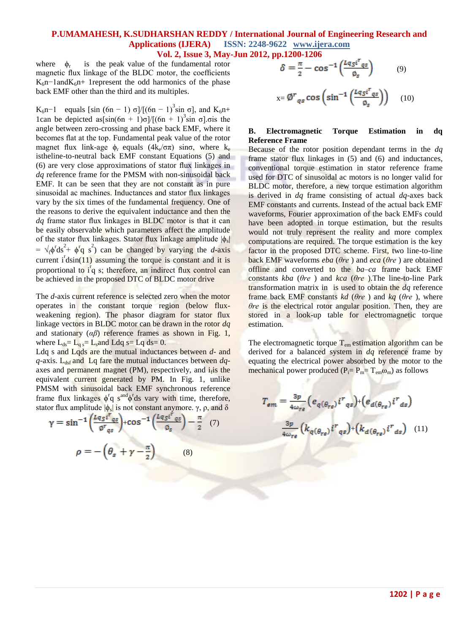where  $\phi_r$  is the peak value of the fundamental rotor magnetic flux linkage of the BLDC motor, the coefficients  $K_6n-1$ and $K_6n+1$  represent the odd harmonics of the phase back EMF other than the third and its multiples.

K<sub>6</sub>n-1 equals [sin (6n – 1)  $\sigma$ ]/[(6n – 1)<sup>3</sup>sin  $\sigma$ ], and K<sub>6</sub>n+ 1can be depicted as  $sin(6n + 1)σ]/[(6n + 1)^{3}sin σ]$ .σis the angle between zero-crossing and phase back EMF, where it becomes flat at the top. Fundamental peak value of the rotor magnet flux link-age  $\phi_r$  equals  $(4k_e/\sigma\pi)$  sin $\sigma$ , where  $k_e$ istheline-to-neutral back EMF constant Equations (5) and (6) are very close approximations of stator flux linkages in *dq* reference frame for the PMSM with non-sinusoidal back EMF. It can be seen that they are not constant as in pure sinusoidal ac machines. Inductances and stator flux linkages vary by the six times of the fundamental frequency. One of the reasons to derive the equivalent inductance and then the *dq* frame stator flux linkages in BLDC motor is that it can be easily observable which parameters affect the amplitude of the stator flux linkages. Stator flux linkage amplitude  $|\phi_s|$  $= \sqrt{\phi^t} ds^2 + \phi^t \mathbf{q} s^2$  can be changed by varying the *d*-axis current  $i^{t}$  dsin(11) assuming the torque is constant and it is proportional to i<sup>f</sup>q s; therefore, an indirect flux control can be achieved in the proposed DTC of BLDC motor drive

The *d*-axis current reference is selected zero when the motor operates in the constant torque region (below fluxweakening region). The phasor diagram for stator flux linkage vectors in BLDC motor can be drawn in the rotor *dq*  and stationary (*αβ*) reference frames as shown in Fig. 1, where  $L_{ds} = L_q = L_s$  and  $L dq = Lq$  ds= 0.

Ldq s and Lqds are the mutual inductances between *d-* and *q*-axis. L<sub>dsf</sub> and Lq fare the mutual inductances between *dq*axes and permanent magnet (PM), respectively, and i<sub>f</sub> is the equivalent current generated by PM. In Fig. 1, unlike PMSM with sinusoidal back EMF synchronous reference frame flux linkages  $\phi^r q$  s<sup>and</sup> $\phi^r$ ds vary with time, therefore, stator flux amplitude  $|\phi_s|$  is not constant anymore.  $\gamma$ ,  $\rho$ , and  $\delta$ 

$$
\gamma = \sin^{-1}\left(\frac{Lq_S i^r_{qs}}{\varrho^r_{qs}}\right) + \cos^{-1}\left(\frac{Lq_S i^r_{qs}}{\varrho_s}\right) - \frac{\pi}{2} \quad (7)
$$

$$
\rho = -\left(\theta_s + \gamma - \frac{\pi}{2}\right) \qquad (8)
$$

$$
\delta = \frac{\pi}{2} - \cos^{-1}\left(\frac{Lq_S i^r q_S}{\phi_S}\right) \tag{9}
$$

$$
x = \emptyset^r_{qs} \cos\left(\sin^{-1}\left(\frac{Lq_S i^r_{qs}}{\phi_s}\right)\right) \quad (10)
$$

#### **B. Electromagnetic Torque Estimation in dq Reference Frame**

Because of the rotor position dependant terms in the *dq*  frame stator flux linkages in (5) and (6) and inductances, conventional torque estimation in stator reference frame used for DTC of sinusoidal ac motors is no longer valid for BLDC motor, therefore, a new torque estimation algorithm is derived in *dq* frame consisting of actual *dq-*axes back EMF constants and currents. Instead of the actual back EMF waveforms, Fourier approximation of the back EMFs could have been adopted in torque estimation, but the results would not truly represent the reality and more complex computations are required. The torque estimation is the key factor in the proposed DTC scheme. First, two line-to-line back EMF waveforms *eba* (*θre* ) and *eca* (*θre* ) are obtained offline and converted to the *ba–ca* frame back EMF constants *kba* (*θre* ) and *kca* (*θre* ).The line-to-line Park transformation matrix in is used to obtain the *dq* reference frame back EMF constants *kd* (*θre* ) and *kq* (*θre* ), where *θre* is the electrical rotor angular position. Then, they are stored in a look-up table for electromagnetic torque estimation.

The electromagnetic torque  $T_{em}$  estimation algorithm can be derived for a balanced system in *dq* reference frame by equating the electrical power absorbed by the motor to the mechanical power produced  $(P_i = P_m = T_{em} \omega_m)$  as follows

$$
T_{em} = \frac{3p}{4\omega_{re}} \left( e_{q(\theta_{re})} i^{r}{}_{qs} \right) + \left( e_{d(\theta_{re})} i^{r}{}_{ds} \right)
$$

$$
\frac{3p}{4\omega_{re}} \left( k_{q(\theta_{re})} i^{r}{}_{qs} \right) + \left( k_{d(\theta_{re})} i^{r}{}_{ds} \right) \quad (11)
$$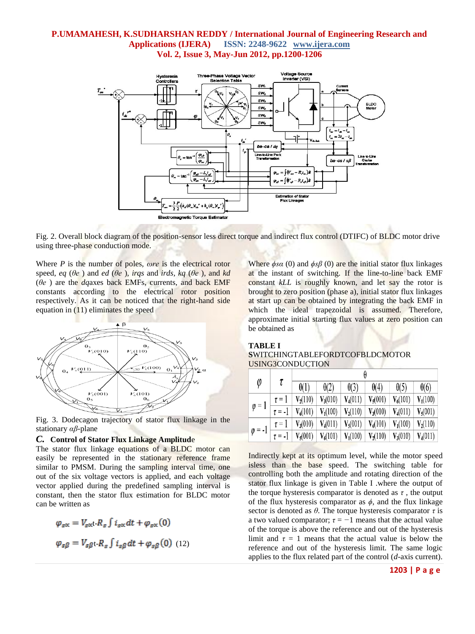

Fig. 2. Overall block diagram of the position-sensor less direct torque and indirect flux control (DTIFC) of BLDC motor drive using three-phase conduction mode.

Where *P* is the number of poles, *ωre* is the electrical rotor speed, *eq* ( $\theta$ *e*) and *ed* ( $\theta$ *e*), *irqs* and *irds, kq* ( $\theta$ *e*), and *kd* (*θe* ) are the *dq*axes back EMFs, currents, and back EMF constants according to the electrical rotor position respectively. As it can be noticed that the right-hand side equation in (11) eliminates the speed



Fig. 3. Dodecagon trajectory of stator flux linkage in the stationary *αβ-*plane

#### *C.* **Control of Stator Flux Linkage Amplitud**e

The stator flux linkage equations of a BLDC motor can easily be represented in the stationary reference frame similar to PMSM. During the sampling interval time, one out of the six voltage vectors is applied, and each voltage vector applied during the predefined sampling interval is constant, then the stator flux estimation for BLDC motor can be written as

$$
\varphi_{s\alpha} = V_{s\alpha}t \cdot R_s \int i_{s\alpha} dt + \varphi_{s\alpha}(0)
$$

$$
\varphi_{s\beta} = V_{s\beta}t \cdot R_s \int i_{s\beta} dt + \varphi_{s\beta}(0) \quad (12)
$$

Where  $\phi$ *sa* (0) and  $\phi$ *sβ* (0) are the initial stator flux linkages at the instant of switching. If the line-to-line back EMF constant *kLL* is roughly known, and let say the rotor is brought to zero position (phase a), initial stator flux linkages at start up can be obtained by integrating the back EMF in which the ideal trapezoidal is assumed. Therefore, approximate initial starting flux values at zero position can be obtained as

#### **TABLE I**

#### **S**WITCHINGTABLEFORDTCOFBLDCMOTOR USING3CONDUCTION

| φ                                                                                                                                              |  |             |             |                                                                                                      |             |             |             |
|------------------------------------------------------------------------------------------------------------------------------------------------|--|-------------|-------------|------------------------------------------------------------------------------------------------------|-------------|-------------|-------------|
|                                                                                                                                                |  | $\theta(1)$ | $\theta(2)$ | $\theta(3)$                                                                                          | $\theta(4)$ | $\theta(5)$ | $\theta(6)$ |
| $\varphi = 1$                                                                                                                                  |  |             |             | $\tau = 1$   $V_2(110)$   $V_3(010)$   $V_4(011)$   $V_5(001)$   $V_6(101)$   $V_1(100)$             |             |             |             |
|                                                                                                                                                |  |             |             | $\overline{\tau}$ = -1   $V_6(101)$   $V_1(100)$   $V_2(110)$   $V_3(010)$   $V_4(011)$   $V_5(001)$ |             |             |             |
| $\varphi = -1$ $\frac{1}{\tau} = -1$ $\frac{1}{V_5(001)}$ $\frac{1}{V_6(101)}$ $\frac{1}{V_1(100)}$ $\frac{1}{V_2(110)}$ $V_3(010)$ $V_4(011)$ |  |             |             | $\tau = 1$   $V_3(010)$   $V_4(011)$   $V_5(001)$   $V_6(101)$   $V_1(100)$   $V_2(110)$             |             |             |             |
|                                                                                                                                                |  |             |             |                                                                                                      |             |             |             |

Indirectly kept at its optimum level, while the motor speed isless than the base speed. The switching table for controlling both the amplitude and rotating direction of the stator flux linkage is given in Table I .where the output of the torque hysteresis comparator is denoted as  $\tau$ , the output of the flux hysteresis comparator as  $\phi$ , and the flux linkage sector is denoted as  $\theta$ . The torque hysteresis comparator  $\tau$  is a two valued comparator;  $\tau = -1$  means that the actual value of the torque is above the reference and out of the hysteresis limit and  $\tau = 1$  means that the actual value is below the reference and out of the hysteresis limit. The same logic applies to the flux related part of the control (*d-*axis current).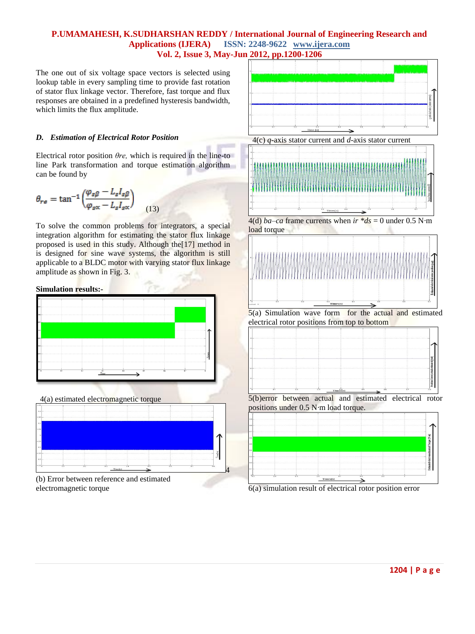The one out of six voltage space vectors is selected using lookup table in every sampling time to provide fast rotation of stator flux linkage vector. Therefore, fast torque and flux responses are obtained in a predefined hysteresis bandwidth, which limits the flux amplitude.

## *D. Estimation of Electrical Rotor Position*

Electrical rotor position *θre,* which is required in the line-to line Park transformation and torque estimation algorithm can be found by

$$
\theta_{r\epsilon} = \tan^{-1} \left( \frac{\varphi_{s\beta} - L_s I_{s\beta}}{\varphi_{s\alpha} - L_s I_{s\alpha}} \right) \tag{13}
$$

To solve the common problems for integrators, a special integration algorithm for estimating the stator flux linkage proposed is used in this study. Although the[17] method in is designed for sine wave systems, the algorithm is still applicable to a BLDC motor with varying stator flux linkage amplitude as shown in Fig. 3.

**Simulation results:-**



4(a) estimated electromagnetic torque



(b) Error between reference and estimated electromagnetic torque





4(d) *ba–ca* frame currents when  $ir * ds = 0$  under 0.5 N·m load torque



5(a) Simulation wave form for the actual and estimated electrical rotor positions from top to bottom



5(b)error between actual and estimated electrical rotor positions under 0.5 N*·*m load torque.



6(a) simulation result of electrical rotor position error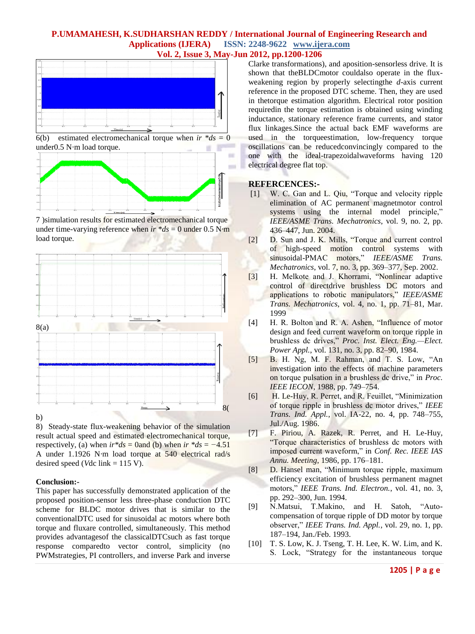

6(b) estimated electromechanical torque when  $ir * ds = 0$ under0.5 N*·*m load torque.



7 )simulation results for estimated electromechanical torque under time-varying reference when  $ir * ds = 0$  under 0.5 N·m load torque.



8) Steady-state flux-weakening behavior of the simulation result actual speed and estimated electromechanical torque, respectively, (a) when  $ir * ds = 0$  and (b) when  $ir * ds = -4.51$ A under 1.1926 N*·*m load torque at 540 electrical rad/s desired speed (*V*dc link  $= 115$  V).

#### **Conclusion:-**

This paper has successfully demonstrated application of the proposed position-sensor less three-phase conduction DTC scheme for BLDC motor drives that is similar to the conventionalDTC used for sinusoidal ac motors where both torque and fluxare controlled, simultaneously. This method provides advantagesof the classicalDTCsuch as fast torque response comparedto vector control, simplicity (no PWMstrategies, PI controllers, and inverse Park and inverse

Clarke transformations), and aposition-sensorless drive. It is shown that theBLDCmotor couldalso operate in the fluxweakening region by properly selectingthe *d*-axis current reference in the proposed DTC scheme. Then, they are used in thetorque estimation algorithm. Electrical rotor position requiredin the torque estimation is obtained using winding inductance, stationary reference frame currents, and stator flux linkages.Since the actual back EMF waveforms are used in the torqueestimation, low-frequency torque oscillations can be reducedconvincingly compared to the one with the ideal-trapezoidalwaveforms having 120 electrical degree flat top.

#### **REFERCENCES:-**

- [1] W. C. Gan and L. Qiu, "Torque and velocity ripple elimination of AC permanent magnetmotor control systems using the internal model principle," *IEEE/ASME Trans. Mechatronics*, vol. 9, no. 2, pp. 436–447, Jun. 2004.
- [2] D. Sun and J. K. Mills, "Torque and current control of high-speed motion control systems with sinusoidal-PMAC motors," *IEEE/ASME Trans. Mechatronics*, vol. 7, no. 3, pp. 369–377, Sep. 2002.
- [3] H. Melkote and J. Khorrami, "Nonlinear adaptive control of directdrive brushless DC motors and applications to robotic manipulators," *IEEE/ASME Trans. Mechatronics*, vol. 4, no. 1, pp. 71–81, Mar. 1999
- [4] H. R. Bolton and R. A. Ashen, "Influence of motor design and feed current waveform on torque ripple in brushless dc drives," *Proc. Inst. Elect. Eng.—Elect. Power Appl.*, vol. 131, no. 3, pp. 82–90, 1984.
- [5] B. H. Ng, M. F. Rahman, and T. S. Low, "An investigation into the effects of machine parameters on torque pulsation in a brushless dc drive," in *Proc. IEEE IECON*, 1988, pp. 749–754.
- [6] H. Le-Huy, R. Perret, and R. Feuillet, "Minimization of torque ripple in brushless dc motor drives," *IEEE Trans. Ind. Appl.*, vol. IA-22, no. 4, pp. 748–755, Jul./Aug. 1986.
- [7] F. Piriou, A. Razek, R. Perret, and H. Le-Huy, "Torque characteristics of brushless dc motors with imposed current waveform," in *Conf. Rec. IEEE IAS Annu. Meeting*, 1986, pp. 176–181.
- [8] D. Hansel man, "Minimum torque ripple, maximum efficiency excitation of brushless permanent magnet motors," *IEEE Trans. Ind. Electron.*, vol. 41, no. 3, pp. 292–300, Jun. 1994.
- [9] N.Matsui, T.Makino, and H. Satoh, "Autocompensation of torque ripple of DD motor by torque observer," *IEEE Trans. Ind. Appl.*, vol. 29, no. 1, pp. 187–194, Jan./Feb. 1993.
- [10] T. S. Low, K. J. Tseng, T. H. Lee, K. W. Lim, and K. S. Lock, "Strategy for the instantaneous torque